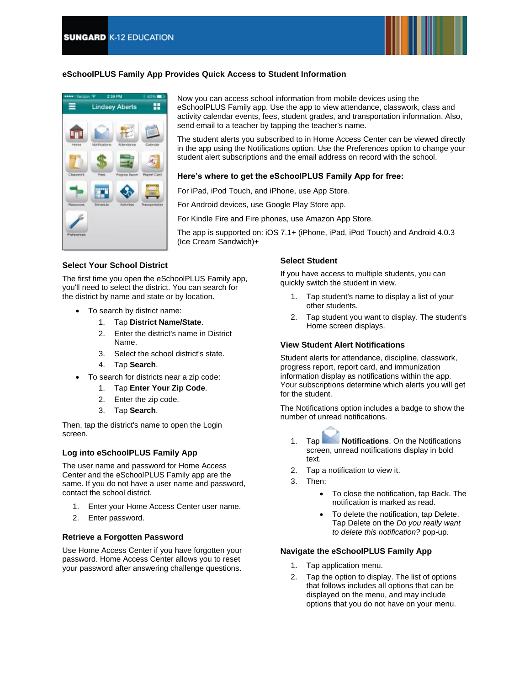

## **eSchoolPLUS Family App Provides Quick Access to Student Information**



Now you can access school information from mobile devices using the eSchoolPLUS Family app. Use the app to view attendance, classwork, class and activity calendar events, fees, student grades, and transportation information. Also, send email to a teacher by tapping the teacher's name.

The student alerts you subscribed to in Home Access Center can be viewed directly in the app using the Notifications option. Use the Preferences option to change your student alert subscriptions and the email address on record with the school.

### **Here's where to get the eSchoolPLUS Family App for free:**

For iPad, iPod Touch, and iPhone, use App Store.

For Android devices, use Google Play Store app.

For Kindle Fire and Fire phones, use Amazon App Store.

The app is supported on: iOS 7.1+ (iPhone, iPad, iPod Touch) and Android 4.0.3 (Ice Cream Sandwich)+

### **Select Your School District**

The first time you open the eSchoolPLUS Family app, you'll need to select the district. You can search for the district by name and state or by location.

- To search by district name:
	- 1. Tap **District Name/State**.
	- 2. Enter the district's name in District Name.
	- 3. Select the school district's state.
	- 4. Tap **Search**.
- To search for districts near a zip code:
	- 1. Tap **Enter Your Zip Code**.
	- 2. Enter the zip code.
	- 3. Tap **Search**.

Then, tap the district's name to open the Login screen.

### **Log into eSchoolPLUS Family App**

The user name and password for Home Access Center and the eSchoolPLUS Family app are the same. If you do not have a user name and password, contact the school district.

- 1. Enter your Home Access Center user name.
- 2. Enter password.

### **Retrieve a Forgotten Password**

Use Home Access Center if you have forgotten your password. Home Access Center allows you to reset your password after answering challenge questions.

### **Select Student**

If you have access to multiple students, you can quickly switch the student in view.

- 1. Tap student's name to display a list of your other students.
- 2. Tap student you want to display. The student's Home screen displays.

### **View Student Alert Notifications**

Student alerts for attendance, discipline, classwork, progress report, report card, and immunization information display as notifications within the app. Your subscriptions determine which alerts you will get for the student.

The Notifications option includes a badge to show the number of unread notifications.



1. Tap **Notifications**. On the Notifications screen, unread notifications display in bold text.

- 2. Tap a notification to view it.
- 3. Then:
	- To close the notification, tap Back. The notification is marked as read.
	- To delete the notification, tap Delete. Tap Delete on the *Do you really want to delete this notification?* pop-up.

#### **Navigate the eSchoolPLUS Family App**

- 1. Tap application menu.
- 2. Tap the option to display. The list of options that follows includes all options that can be displayed on the menu, and may include options that you do not have on your menu.